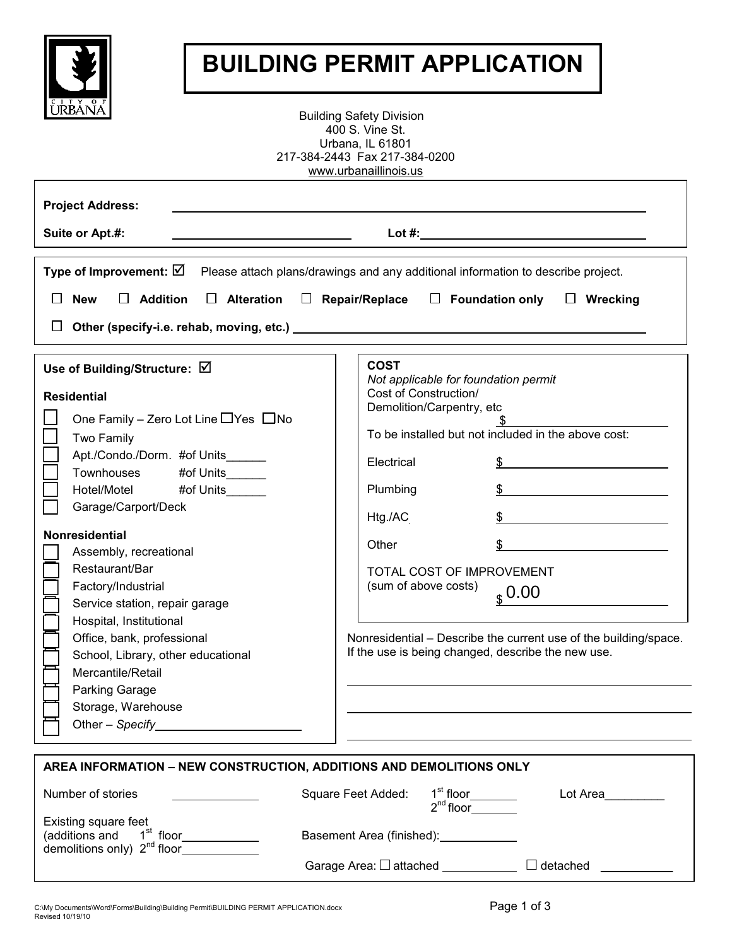

## **BUILDING PERMIT APPLICATION**

Building Safety Division 400 S. Vine St. Urbana, IL 61801 217-384-2443 Fax 217-384-0200 www.urbanaillinois.us

| <b>Project Address:</b><br>Suite or Apt.#:                                                                                                                                                                                                                                                                                                                                                                                                                                                                             | $\mathsf{Lot} \#$ :                                                                                                                                                                                                                                                                                                                                                                                                                                                                                                                                   |
|------------------------------------------------------------------------------------------------------------------------------------------------------------------------------------------------------------------------------------------------------------------------------------------------------------------------------------------------------------------------------------------------------------------------------------------------------------------------------------------------------------------------|-------------------------------------------------------------------------------------------------------------------------------------------------------------------------------------------------------------------------------------------------------------------------------------------------------------------------------------------------------------------------------------------------------------------------------------------------------------------------------------------------------------------------------------------------------|
| Type of Improvement: $\boxtimes$<br><b>Addition</b><br><b>Alteration</b><br><b>New</b><br>$\Box$<br>$\perp$<br>$\perp$                                                                                                                                                                                                                                                                                                                                                                                                 | Please attach plans/drawings and any additional information to describe project.<br>$\Box$ Foundation only<br>Repair/Replace<br>$\Box$ Wrecking                                                                                                                                                                                                                                                                                                                                                                                                       |
| Use of Building/Structure: ☑<br><b>Residential</b><br>One Family – Zero Lot Line $\Box$ Yes $\Box$ No<br>Two Family<br>Apt./Condo./Dorm. #of Units<br>Townhouses #of Units<br>#of Units<br>Hotel/Motel<br>Garage/Carport/Deck<br><b>Nonresidential</b><br>Assembly, recreational<br>Restaurant/Bar<br>Factory/Industrial<br>Service station, repair garage<br>Hospital, Institutional<br>Office, bank, professional<br>School, Library, other educational<br>Mercantile/Retail<br>Parking Garage<br>Storage, Warehouse | <b>COST</b><br>Not applicable for foundation permit<br>Cost of Construction/<br>Demolition/Carpentry, etc<br>To be installed but not included in the above cost:<br>Electrical<br>Plumbing<br>$\frac{1}{2}$<br>Htg./AC<br>Other<br><u> 1989 - Jan Stein Stein Stein Stein Stein Stein Stein Stein Stein Stein Stein Stein Stein Stein Stein Stein S</u><br>TOTAL COST OF IMPROVEMENT<br>(sum of above costs)<br>$_{s}$ 0.00<br>Nonresidential - Describe the current use of the building/space.<br>If the use is being changed, describe the new use. |
| AREA INFORMATION - NEW CONSTRUCTION, ADDITIONS AND DEMOLITIONS ONLY                                                                                                                                                                                                                                                                                                                                                                                                                                                    |                                                                                                                                                                                                                                                                                                                                                                                                                                                                                                                                                       |

| Number of stories                                                                                       | Square Feet Added:           | 1 <sup>st</sup> floor<br>$2^{nd}$ floor | Lot Area        |
|---------------------------------------------------------------------------------------------------------|------------------------------|-----------------------------------------|-----------------|
| <b>Existing square feet</b><br>(additions and 1 <sup>st</sup> floor<br>demolitions only) $2^{nd}$ floor | Basement Area (finished):    |                                         |                 |
|                                                                                                         | Garage Area: $\Box$ attached |                                         | $\Box$ detached |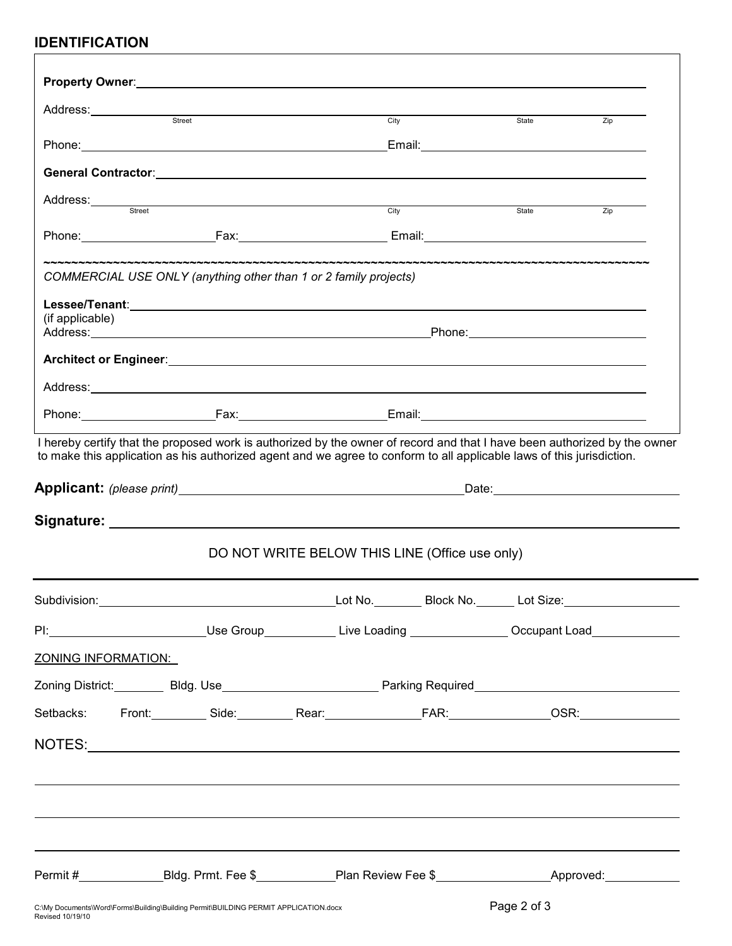## **IDENTIFICATION**

| Address:<br>street<br>street<br>street<br>street<br>street<br>street<br>street<br>street<br>for street<br>for street<br>for street<br>for street<br>for street<br>for street<br>for street<br>for street<br>for street<br>for street<br>for street<br>for street<br>for street<br>for street<br>for                                        | City                                                                                                                                                           |             | State       | Zip |
|--------------------------------------------------------------------------------------------------------------------------------------------------------------------------------------------------------------------------------------------------------------------------------------------------------------------------------------------|----------------------------------------------------------------------------------------------------------------------------------------------------------------|-------------|-------------|-----|
|                                                                                                                                                                                                                                                                                                                                            |                                                                                                                                                                |             |             |     |
|                                                                                                                                                                                                                                                                                                                                            |                                                                                                                                                                |             |             |     |
| Address:<br>street<br>street                                                                                                                                                                                                                                                                                                               |                                                                                                                                                                | <b>City</b> | State       | Zip |
|                                                                                                                                                                                                                                                                                                                                            |                                                                                                                                                                |             |             |     |
|                                                                                                                                                                                                                                                                                                                                            |                                                                                                                                                                |             |             |     |
| COMMERCIAL USE ONLY (anything other than 1 or 2 family projects)                                                                                                                                                                                                                                                                           |                                                                                                                                                                |             |             |     |
|                                                                                                                                                                                                                                                                                                                                            |                                                                                                                                                                |             |             |     |
| (if applicable)                                                                                                                                                                                                                                                                                                                            |                                                                                                                                                                |             |             |     |
|                                                                                                                                                                                                                                                                                                                                            |                                                                                                                                                                |             |             |     |
|                                                                                                                                                                                                                                                                                                                                            |                                                                                                                                                                |             |             |     |
|                                                                                                                                                                                                                                                                                                                                            |                                                                                                                                                                |             |             |     |
| I hereby certify that the proposed work is authorized by the owner of record and that I have been authorized by the owner                                                                                                                                                                                                                  |                                                                                                                                                                |             |             |     |
|                                                                                                                                                                                                                                                                                                                                            |                                                                                                                                                                |             |             |     |
|                                                                                                                                                                                                                                                                                                                                            | <b>Applicant:</b> (please print) <b>Applicant:</b> (please print) <b>Applicant:</b> (please print) <b>Applicant:</b> (please print) <b>Applicant:</b> $\theta$ |             |             |     |
|                                                                                                                                                                                                                                                                                                                                            |                                                                                                                                                                |             |             |     |
|                                                                                                                                                                                                                                                                                                                                            | DO NOT WRITE BELOW THIS LINE (Office use only)                                                                                                                 |             |             |     |
|                                                                                                                                                                                                                                                                                                                                            |                                                                                                                                                                |             |             |     |
| PI: Contract Contract Contract Contract Contract Contract Contract Contract Contract Contract Contract Contract Contract Contract Contract Contract Contract Contract Contract Contract Contract Contract Contract Contract Co                                                                                                             |                                                                                                                                                                |             |             |     |
| <b>ZONING INFORMATION:</b>                                                                                                                                                                                                                                                                                                                 |                                                                                                                                                                |             |             |     |
|                                                                                                                                                                                                                                                                                                                                            |                                                                                                                                                                |             |             |     |
| Setbacks: Front: Side: Rear: FAR: OSR: OSR:                                                                                                                                                                                                                                                                                                |                                                                                                                                                                |             |             |     |
|                                                                                                                                                                                                                                                                                                                                            |                                                                                                                                                                |             |             |     |
|                                                                                                                                                                                                                                                                                                                                            |                                                                                                                                                                |             |             |     |
|                                                                                                                                                                                                                                                                                                                                            |                                                                                                                                                                |             |             |     |
|                                                                                                                                                                                                                                                                                                                                            |                                                                                                                                                                |             |             |     |
|                                                                                                                                                                                                                                                                                                                                            |                                                                                                                                                                |             |             |     |
|                                                                                                                                                                                                                                                                                                                                            |                                                                                                                                                                |             |             |     |
| Permit # <b>Mark Allen Contract Contract Property</b> Plan Review Fee \$ <b>Mark Allen Contract Property Plan Review Fee \$ Mark Allen Contract Property Allen Contract Property Plan Review Fee \$ <b>Mark Allen Contract Property Plan R</b></b><br>C:\My Documents\Word\Forms\Building\Building Permit\BUILDING PERMIT APPLICATION.docx |                                                                                                                                                                |             | Page 2 of 3 |     |